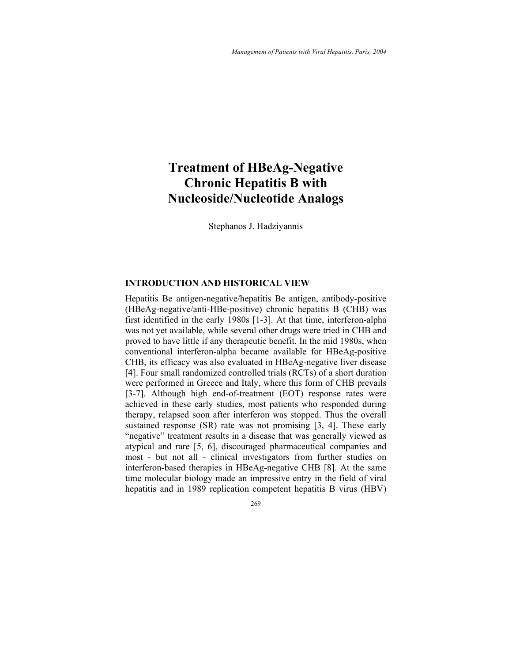# **Treatment of HBeAg-Negative Chronic Hepatitis B with Nucleoside/Nucleotide Analogs**

Stephanos J. Hadziyannis

### **INTRODUCTION AND HISTORICAL VIEW**

Hepatitis Be antigen-negative/hepatitis Be antigen, antibody-positive (HBeAg-negative/anti-HBe-positive) chronic hepatitis B (CHB) was first identified in the early 1980s [1-3]. At that time, interferon-alpha was not yet available, while several other drugs were tried in CHB and proved to have little if any therapeutic benefit. In the mid 1980s, when conventional interferon-alpha became available for HBeAg-positive CHB, its efficacy was also evaluated in HBeAg-negative liver disease [4]. Four small randomized controlled trials (RCTs) of a short duration were performed in Greece and Italy, where this form of CHB prevails [3-7]. Although high end-of-treatment (EOT) response rates were achieved in these early studies, most patients who responded during therapy, relapsed soon after interferon was stopped. Thus the overall sustained response (SR) rate was not promising [3, 4]. These early "negative" treatment results in a disease that was generally viewed as atypical and rare [5, 6], discouraged pharmaceutical companies and most - but not all - clinical investigators from further studies on interferon-based therapies in HBeAg-negative CHB [8]. At the same time molecular biology made an impressive entry in the field of viral hepatitis and in 1989 replication competent hepatitis B virus (HBV)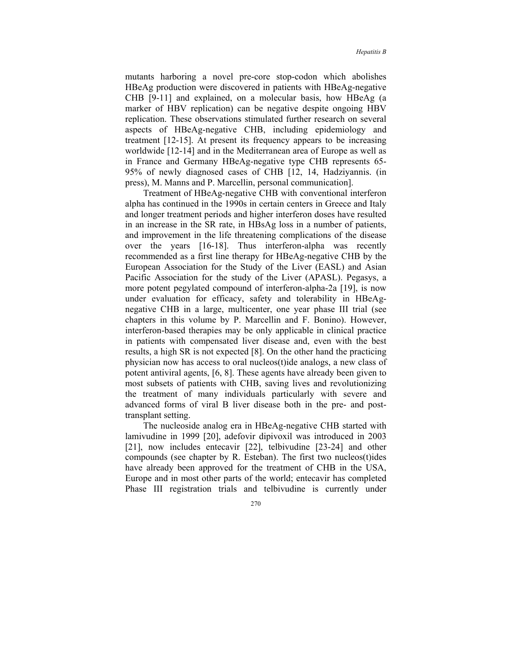mutants harboring a novel pre-core stop-codon which abolishes HBeAg production were discovered in patients with HBeAg-negative CHB [9-11] and explained, on a molecular basis, how HBeAg (a marker of HBV replication) can be negative despite ongoing HBV replication. These observations stimulated further research on several aspects of HBeAg-negative CHB, including epidemiology and treatment [12-15]. At present its frequency appears to be increasing worldwide [12-14] and in the Mediterranean area of Europe as well as in France and Germany HBeAg-negative type CHB represents 65- 95% of newly diagnosed cases of CHB [12, 14, Hadziyannis. (in press), M. Manns and P. Marcellin, personal communication].

Treatment of HBeAg-negative CHB with conventional interferon alpha has continued in the 1990s in certain centers in Greece and Italy and longer treatment periods and higher interferon doses have resulted in an increase in the SR rate, in HBsAg loss in a number of patients, and improvement in the life threatening complications of the disease over the years [16-18]. Thus interferon-alpha was recently recommended as a first line therapy for HBeAg-negative CHB by the European Association for the Study of the Liver (EASL) and Asian Pacific Association for the study of the Liver (APASL). Pegasys, a more potent pegylated compound of interferon-alpha-2a [19], is now under evaluation for efficacy, safety and tolerability in HBeAgnegative CHB in a large, multicenter, one year phase III trial (see chapters in this volume by P. Marcellin and F. Bonino). However, interferon-based therapies may be only applicable in clinical practice in patients with compensated liver disease and, even with the best results, a high SR is not expected [8]. On the other hand the practicing physician now has access to oral nucleos(t)ide analogs, a new class of potent antiviral agents, [6, 8]. These agents have already been given to most subsets of patients with CHB, saving lives and revolutionizing the treatment of many individuals particularly with severe and advanced forms of viral B liver disease both in the pre- and posttransplant setting.

The nucleoside analog era in HBeAg-negative CHB started with lamivudine in 1999 [20], adefovir dipivoxil was introduced in 2003 [21], now includes entecavir [22], telbivudine [23-24] and other compounds (see chapter by R. Esteban). The first two nucleos(t)ides have already been approved for the treatment of CHB in the USA, Europe and in most other parts of the world; entecavir has completed Phase III registration trials and telbivudine is currently under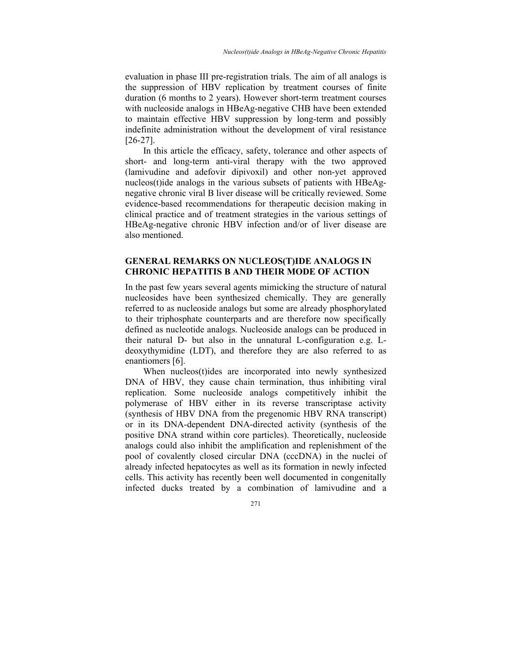evaluation in phase III pre-registration trials. The aim of all analogs is the suppression of HBV replication by treatment courses of finite duration (6 months to 2 years). However short-term treatment courses with nucleoside analogs in HBeAg-negative CHB have been extended to maintain effective HBV suppression by long-term and possibly indefinite administration without the development of viral resistance [26-27].

In this article the efficacy, safety, tolerance and other aspects of short- and long-term anti-viral therapy with the two approved (lamivudine and adefovir dipivoxil) and other non-yet approved nucleos(t)ide analogs in the various subsets of patients with HBeAgnegative chronic viral B liver disease will be critically reviewed. Some evidence-based recommendations for therapeutic decision making in clinical practice and of treatment strategies in the various settings of HBeAg-negative chronic HBV infection and/or of liver disease are also mentioned.

# **GENERAL REMARKS ON NUCLEOS(T)IDE ANALOGS IN CHRONIC HEPATITIS B AND THEIR MODE OF ACTION**

In the past few years several agents mimicking the structure of natural nucleosides have been synthesized chemically. They are generally referred to as nucleoside analogs but some are already phosphorylated to their triphosphate counterparts and are therefore now specifically defined as nucleotide analogs. Nucleoside analogs can be produced in their natural D- but also in the unnatural L-configuration e.g. Ldeoxythymidine (LDT), and therefore they are also referred to as enantiomers [6].

When nucleos(t)ides are incorporated into newly synthesized DNA of HBV, they cause chain termination, thus inhibiting viral replication. Some nucleoside analogs competitively inhibit the polymerase of HBV either in its reverse transcriptase activity (synthesis of HBV DNA from the pregenomic HBV RNA transcript) or in its DNA-dependent DNA-directed activity (synthesis of the positive DNA strand within core particles). Theoretically, nucleoside analogs could also inhibit the amplification and replenishment of the pool of covalently closed circular DNA (cccDNA) in the nuclei of already infected hepatocytes as well as its formation in newly infected cells. This activity has recently been well documented in congenitally infected ducks treated by a combination of lamivudine and a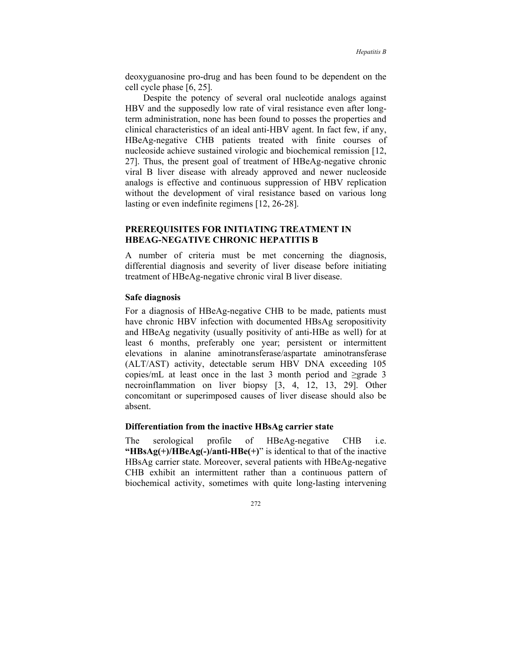deoxyguanosine pro-drug and has been found to be dependent on the cell cycle phase [6, 25].

Despite the potency of several oral nucleotide analogs against HBV and the supposedly low rate of viral resistance even after longterm administration, none has been found to posses the properties and clinical characteristics of an ideal anti-HBV agent. In fact few, if any, HBeAg-negative CHB patients treated with finite courses of nucleoside achieve sustained virologic and biochemical remission [12, 27]. Thus, the present goal of treatment of HBeAg-negative chronic viral B liver disease with already approved and newer nucleoside analogs is effective and continuous suppression of HBV replication without the development of viral resistance based on various long lasting or even indefinite regimens [12, 26-28].

# **PREREQUISITES FOR INITIATING TREATMENT IN HBEAG-NEGATIVE CHRONIC HEPATITIS B**

A number of criteria must be met concerning the diagnosis, differential diagnosis and severity of liver disease before initiating treatment of HBeAg-negative chronic viral B liver disease.

#### **Safe diagnosis**

For a diagnosis of HBeAg-negative CHB to be made, patients must have chronic HBV infection with documented HBsAg seropositivity and HBeAg negativity (usually positivity of anti-HBe as well) for at least 6 months, preferably one year; persistent or intermittent elevations in alanine aminotransferase/aspartate aminotransferase (ALT/AST) activity, detectable serum HBV DNA exceeding 105 copies/mL at least once in the last 3 month period and ≥grade 3 necroinflammation on liver biopsy [3, 4, 12, 13, 29]. Other concomitant or superimposed causes of liver disease should also be absent.

### **Differentiation from the inactive HBsAg carrier state**

The serological profile of HBeAg-negative CHB i.e. **"HBsAg(+)/HBeAg(-)/anti-HBe(+)**" is identical to that of the inactive HBsAg carrier state. Moreover, several patients with HBeAg-negative CHB exhibit an intermittent rather than a continuous pattern of biochemical activity, sometimes with quite long-lasting intervening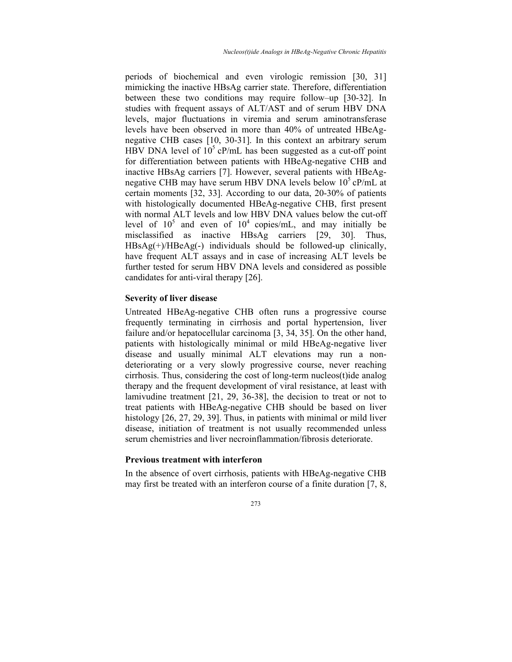periods of biochemical and even virologic remission [30, 31] mimicking the inactive HBsAg carrier state. Therefore, differentiation between these two conditions may require follow–up [30-32]. In studies with frequent assays of ALT/AST and of serum HBV DNA levels, major fluctuations in viremia and serum aminotransferase levels have been observed in more than 40% of untreated HBeAgnegative CHB cases [10, 30-31]. In this context an arbitrary serum HBV DNA level of  $10<sup>5</sup>$  cP/mL has been suggested as a cut-off point for differentiation between patients with HBeAg-negative CHB and inactive HBsAg carriers [7]. However, several patients with HBeAgnegative CHB may have serum HBV DNA levels below  $10^5$  cP/mL at certain moments [32, 33]. According to our data, 20-30% of patients with histologically documented HBeAg-negative CHB, first present with normal ALT levels and low HBV DNA values below the cut-off level of  $10^5$  and even of  $10^4$  copies/mL, and may initially be misclassified as inactive HBsAg carriers [29, 30]. Thus, HBsAg(+)/HBeAg(-) individuals should be followed-up clinically, have frequent ALT assays and in case of increasing ALT levels be further tested for serum HBV DNA levels and considered as possible candidates for anti-viral therapy [26].

### **Severity of liver disease**

Untreated HBeAg-negative CHB often runs a progressive course frequently terminating in cirrhosis and portal hypertension, liver failure and/or hepatocellular carcinoma [3, 34, 35]. On the other hand, patients with histologically minimal or mild HBeAg-negative liver disease and usually minimal ALT elevations may run a nondeteriorating or a very slowly progressive course, never reaching cirrhosis. Thus, considering the cost of long-term nucleos(t)ide analog therapy and the frequent development of viral resistance, at least with lamivudine treatment [21, 29, 36-38], the decision to treat or not to treat patients with HBeAg-negative CHB should be based on liver histology [26, 27, 29, 39]. Thus, in patients with minimal or mild liver disease, initiation of treatment is not usually recommended unless serum chemistries and liver necroinflammation/fibrosis deteriorate.

# **Previous treatment with interferon**

In the absence of overt cirrhosis, patients with HBeAg-negative CHB may first be treated with an interferon course of a finite duration [7, 8,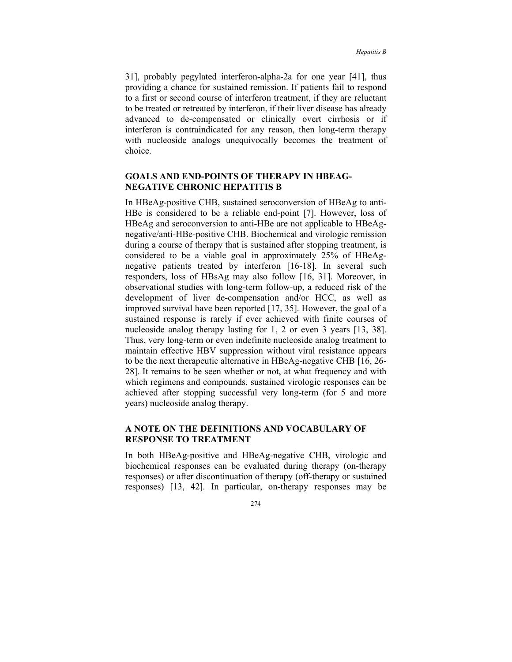31], probably pegylated interferon-alpha-2a for one year [41], thus providing a chance for sustained remission. If patients fail to respond to a first or second course of interferon treatment, if they are reluctant to be treated or retreated by interferon, if their liver disease has already advanced to de-compensated or clinically overt cirrhosis or if interferon is contraindicated for any reason, then long-term therapy with nucleoside analogs unequivocally becomes the treatment of choice.

# **GOALS AND END-POINTS OF THERAPY IN HBEAG-NEGATIVE CHRONIC HEPATITIS B**

In HBeAg-positive CHB, sustained seroconversion of HBeAg to anti-HBe is considered to be a reliable end-point [7]. However, loss of HBeAg and seroconversion to anti-HBe are not applicable to HBeAgnegative/anti-HBe-positive CHB. Biochemical and virologic remission during a course of therapy that is sustained after stopping treatment, is considered to be a viable goal in approximately 25% of HBeAgnegative patients treated by interferon [16-18]. In several such responders, loss of HBsAg may also follow [16, 31]. Moreover, in observational studies with long-term follow-up, a reduced risk of the development of liver de-compensation and/or HCC, as well as improved survival have been reported [17, 35]. However, the goal of a sustained response is rarely if ever achieved with finite courses of nucleoside analog therapy lasting for 1, 2 or even 3 years [13, 38]. Thus, very long-term or even indefinite nucleoside analog treatment to maintain effective HBV suppression without viral resistance appears to be the next therapeutic alternative in HBeAg-negative CHB [16, 26- 28]. It remains to be seen whether or not, at what frequency and with which regimens and compounds, sustained virologic responses can be achieved after stopping successful very long-term (for 5 and more years) nucleoside analog therapy.

# **A NOTE ON THE DEFINITIONS AND VOCABULARY OF RESPONSE TO TREATMENT**

In both HBeAg-positive and HBeAg-negative CHB, virologic and biochemical responses can be evaluated during therapy (on-therapy responses) or after discontinuation of therapy (off-therapy or sustained responses) [13, 42]. In particular, on-therapy responses may be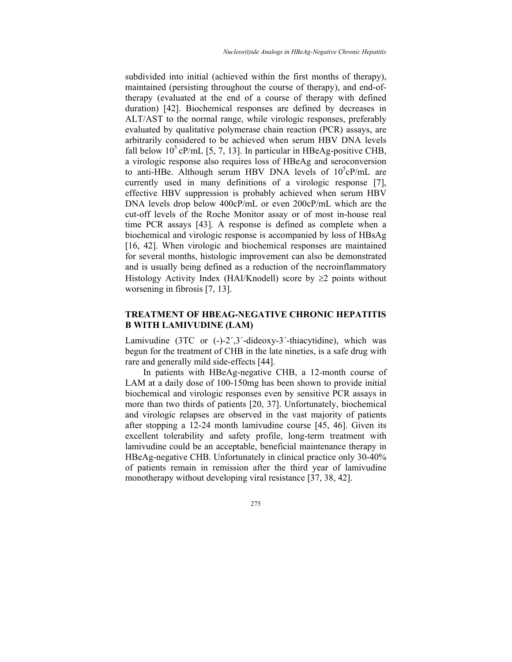subdivided into initial (achieved within the first months of therapy), maintained (persisting throughout the course of therapy), and end-oftherapy (evaluated at the end of a course of therapy with defined duration) [42]. Biochemical responses are defined by decreases in ALT/AST to the normal range, while virologic responses, preferably evaluated by qualitative polymerase chain reaction (PCR) assays, are arbitrarily considered to be achieved when serum HBV DNA levels fall below  $10^5$  cP/mL [5, 7, 13]. In particular in HBeAg-positive CHB, a virologic response also requires loss of HBeAg and seroconversion to anti-HBe. Although serum HBV DNA levels of  $10^5$ cP/mL are currently used in many definitions of a virologic response [7], effective HBV suppression is probably achieved when serum HBV DNA levels drop below 400cP/mL or even 200cP/mL which are the cut-off levels of the Roche Monitor assay or of most in-house real time PCR assays [43]. A response is defined as complete when a biochemical and virologic response is accompanied by loss of HBsAg [16, 42]. When virologic and biochemical responses are maintained for several months, histologic improvement can also be demonstrated and is usually being defined as a reduction of the necroinflammatory Histology Activity Index (HAI/Knodell) score by  $\geq 2$  points without worsening in fibrosis [7, 13].

# **TREATMENT OF HBEAG-NEGATIVE CHRONIC HEPATITIS B WITH LAMIVUDINE (LAM)**

Lamivudine (3ΤC or (-)-2΄,3΄-dideoxy-3΄-thiacytidine), which was begun for the treatment of CHB in the late nineties, is a safe drug with rare and generally mild side-effects [44].

In patients with HBeAg-negative CHB, a 12-month course of LAM at a daily dose of 100-150mg has been shown to provide initial biochemical and virologic responses even by sensitive PCR assays in more than two thirds of patients [20, 37]. Unfortunately, biochemical and virologic relapses are observed in the vast majority of patients after stopping a 12-24 month lamivudine course [45, 46]. Given its excellent tolerability and safety profile, long-term treatment with lamivudine could be an acceptable, beneficial maintenance therapy in HBeAg-negative CHB. Unfortunately in clinical practice only 30-40% of patients remain in remission after the third year of lamivudine monotherapy without developing viral resistance [37, 38, 42].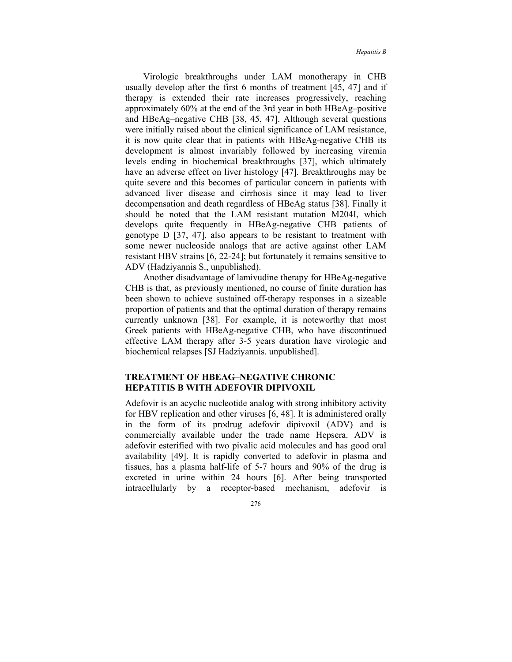Virologic breakthroughs under LAM monotherapy in CHB usually develop after the first 6 months of treatment [45, 47] and if therapy is extended their rate increases progressively, reaching approximately 60% at the end of the 3rd year in both HBeAg–positive and HBeAg–negative CHB [38, 45, 47]. Although several questions were initially raised about the clinical significance of LAM resistance, it is now quite clear that in patients with HBeAg-negative CHB its development is almost invariably followed by increasing viremia levels ending in biochemical breakthroughs [37], which ultimately have an adverse effect on liver histology [47]. Breakthroughs may be quite severe and this becomes of particular concern in patients with advanced liver disease and cirrhosis since it may lead to liver decompensation and death regardless of HBeAg status [38]. Finally it should be noted that the LAM resistant mutation M204I, which develops quite frequently in HBeAg-negative CHB patients of genotype D [37, 47], also appears to be resistant to treatment with some newer nucleoside analogs that are active against other LAM resistant HBV strains [6, 22-24]; but fortunately it remains sensitive to ADV (Hadziyannis S., unpublished).

Another disadvantage of lamivudine therapy for HBeAg-negative CHB is that, as previously mentioned, no course of finite duration has been shown to achieve sustained off-therapy responses in a sizeable proportion of patients and that the optimal duration of therapy remains currently unknown [38]. For example, it is noteworthy that most Greek patients with HBeAg-negative CHB, who have discontinued effective LAM therapy after 3-5 years duration have virologic and biochemical relapses [SJ Hadziyannis. unpublished].

### **TREATMENT OF HBEAG–NEGATIVE CHRONIC HEPATITIS B WITH ADEFOVIR DIPIVOXIL**

Adefovir is an acyclic nucleotide analog with strong inhibitory activity for HBV replication and other viruses [6, 48]. It is administered orally in the form of its prodrug adefovir dipivoxil (ADV) and is commercially available under the trade name Hepsera. ADV is adefovir esterified with two pivalic acid molecules and has good oral availability [49]. It is rapidly converted to adefovir in plasma and tissues, has a plasma half-life of 5-7 hours and 90% of the drug is excreted in urine within 24 hours [6]. After being transported intracellularly by a receptor-based mechanism, adefovir is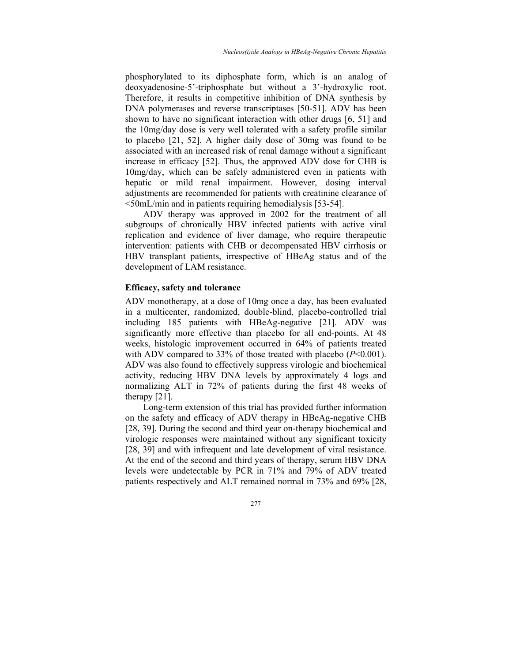phosphorylated to its diphosphate form, which is an analog of deoxyadenosine-5'-triphosphate but without a 3'-hydroxylic root. Therefore, it results in competitive inhibition of DNA synthesis by DNA polymerases and reverse transcriptases [50-51]. ADV has been shown to have no significant interaction with other drugs [6, 51] and the 10mg/day dose is very well tolerated with a safety profile similar to placebo [21, 52]. A higher daily dose of 30mg was found to be associated with an increased risk of renal damage without a significant increase in efficacy [52]. Thus, the approved ADV dose for CHB is 10mg/day, which can be safely administered even in patients with hepatic or mild renal impairment. However, dosing interval adjustments are recommended for patients with creatinine clearance of <50mL/min and in patients requiring hemodialysis [53-54].

ADV therapy was approved in 2002 for the treatment of all subgroups of chronically HBV infected patients with active viral replication and evidence of liver damage, who require therapeutic intervention: patients with CHB or decompensated HBV cirrhosis or HBV transplant patients, irrespective of HBeAg status and of the development of LAM resistance.

### **Efficacy, safety and tolerance**

ADV monotherapy, at a dose of 10mg once a day, has been evaluated in a multicenter, randomized, double-blind, placebo-controlled trial including 185 patients with HBeAg-negative [21]. ADV was significantly more effective than placebo for all end-points. At 48 weeks, histologic improvement occurred in 64% of patients treated with ADV compared to 33% of those treated with placebo ( $P<0.001$ ). ADV was also found to effectively suppress virologic and biochemical activity, reducing HBV DNA levels by approximately 4 logs and normalizing ALT in 72% of patients during the first 48 weeks of therapy [21].

Long-term extension of this trial has provided further information on the safety and efficacy of ADV therapy in HBeAg-negative CHB [28, 39]. During the second and third year on-therapy biochemical and virologic responses were maintained without any significant toxicity [28, 39] and with infrequent and late development of viral resistance. At the end of the second and third years of therapy, serum HBV DNA levels were undetectable by PCR in 71% and 79% of ADV treated patients respectively and ALT remained normal in 73% and 69% [28,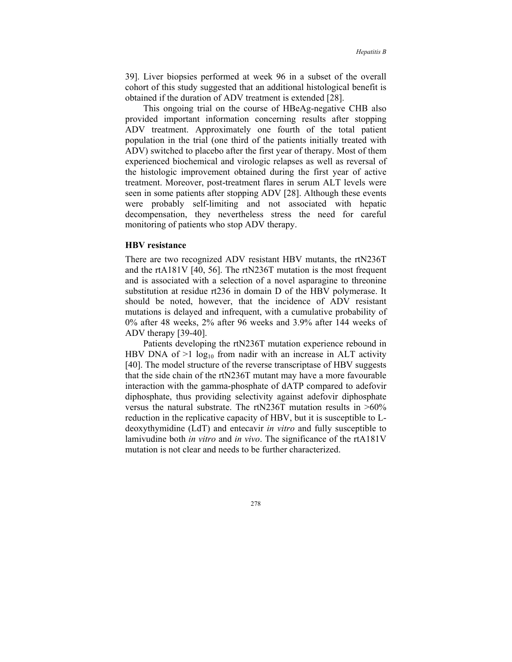39]. Liver biopsies performed at week 96 in a subset of the overall cohort of this study suggested that an additional histological benefit is obtained if the duration of ADV treatment is extended [28].

This ongoing trial on the course of HBeAg-negative CHB also provided important information concerning results after stopping ADV treatment. Approximately one fourth of the total patient population in the trial (one third of the patients initially treated with ADV) switched to placebo after the first year of therapy. Most of them experienced biochemical and virologic relapses as well as reversal of the histologic improvement obtained during the first year of active treatment. Moreover, post-treatment flares in serum ALT levels were seen in some patients after stopping ADV [28]. Although these events were probably self-limiting and not associated with hepatic decompensation, they nevertheless stress the need for careful monitoring of patients who stop ADV therapy.

### **HBV resistance**

There are two recognized ADV resistant HBV mutants, the rtN236T and the rtA181V [40, 56]. The rtN236T mutation is the most frequent and is associated with a selection of a novel asparagine to threonine substitution at residue rt236 in domain D of the HBV polymerase. It should be noted, however, that the incidence of ADV resistant mutations is delayed and infrequent, with a cumulative probability of 0% after 48 weeks, 2% after 96 weeks and 3.9% after 144 weeks of ADV therapy [39-40].

Patients developing the rtN236T mutation experience rebound in HBV DNA of  $>1$  log<sub>10</sub> from nadir with an increase in ALT activity [40]. The model structure of the reverse transcriptase of HBV suggests that the side chain of the rtN236T mutant may have a more favourable interaction with the gamma-phosphate of dATP compared to adefovir diphosphate, thus providing selectivity against adefovir diphosphate versus the natural substrate. The rtN236T mutation results in >60% reduction in the replicative capacity of HBV, but it is susceptible to Ldeoxythymidine (LdT) and entecavir *in vitro* and fully susceptible to lamivudine both *in vitro* and *in vivo*. The significance of the rtA181V mutation is not clear and needs to be further characterized.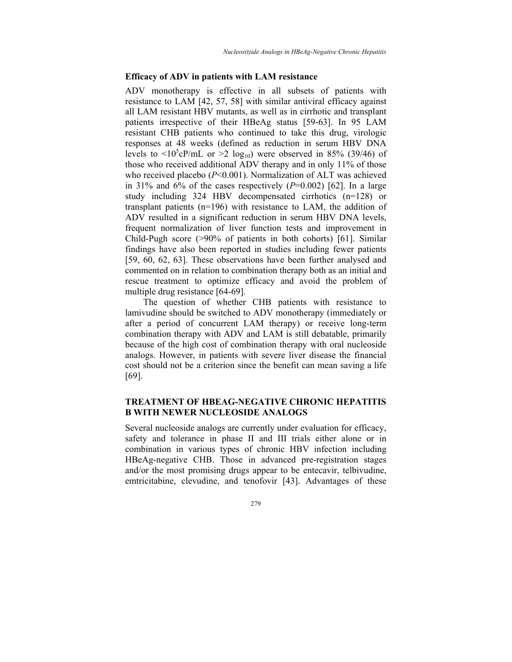### **Efficacy of ADV in patients with LAM resistance**

ADV monotherapy is effective in all subsets of patients with resistance to LAM [42, 57, 58] with similar antiviral efficacy against all LAM resistant HBV mutants, as well as in cirrhotic and transplant patients irrespective of their HBeAg status [59-63]. In 95 LAM resistant CHB patients who continued to take this drug, virologic responses at 48 weeks (defined as reduction in serum HBV DNA levels to  $\langle 10^5 \text{cP/m}$ L or  $\geq 2 \text{ log}_{10}$ ) were observed in 85% (39/46) of those who received additional ADV therapy and in only 11% of those who received placebo (*P*<0.001). Normalization of ALT was achieved in 31% and  $6\%$  of the cases respectively  $(P=0.002)$  [62]. In a large study including 324 HBV decompensated cirrhotics (n=128) or transplant patients (n=196) with resistance to LAM, the addition of ADV resulted in a significant reduction in serum HBV DNA levels, frequent normalization of liver function tests and improvement in Child-Pugh score (>90% of patients in both cohorts) [61]. Similar findings have also been reported in studies including fewer patients [59, 60, 62, 63]. These observations have been further analysed and commented on in relation to combination therapy both as an initial and rescue treatment to optimize efficacy and avoid the problem of multiple drug resistance [64-69].

The question of whether CHB patients with resistance to lamivudine should be switched to ADV monotherapy (immediately or after a period of concurrent LAM therapy) or receive long-term combination therapy with ADV and LAM is still debatable, primarily because of the high cost of combination therapy with oral nucleoside analogs. However, in patients with severe liver disease the financial cost should not be a criterion since the benefit can mean saving a life [69].

### **TREATMENT OF HBEAG-NEGATIVE CHRONIC HEPATITIS B WITH NEWER NUCLEOSIDE ANALOGS**

Several nucleoside analogs are currently under evaluation for efficacy, safety and tolerance in phase II and III trials either alone or in combination in various types of chronic HBV infection including HBeAg-negative CHB. Those in advanced pre-registration stages and/or the most promising drugs appear to be entecavir, telbivudine, emtricitabine, clevudine, and tenofovir [43]. Advantages of these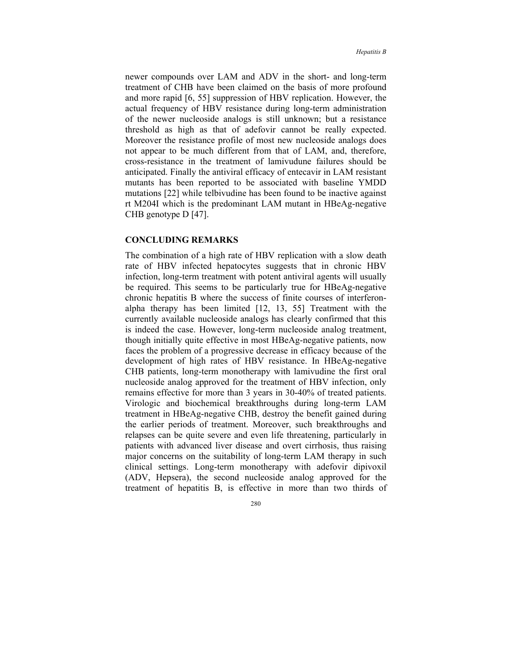newer compounds over LAM and ADV in the short- and long-term treatment of CHB have been claimed on the basis of more profound and more rapid [6, 55] suppression of HBV replication. However, the actual frequency of HBV resistance during long-term administration of the newer nucleoside analogs is still unknown; but a resistance threshold as high as that of adefovir cannot be really expected. Moreover the resistance profile of most new nucleoside analogs does not appear to be much different from that of LAM, and, therefore, cross-resistance in the treatment of lamivudune failures should be anticipated. Finally the antiviral efficacy of entecavir in LAM resistant mutants has been reported to be associated with baseline YMDD mutations [22] while telbivudine has been found to be inactive against rt M204I which is the predominant LAM mutant in HBeAg-negative CHB genotype D [47].

### **CONCLUDING REMARKS**

The combination of a high rate of HBV replication with a slow death rate of HBV infected hepatocytes suggests that in chronic HBV infection, long-term treatment with potent antiviral agents will usually be required. This seems to be particularly true for HBeAg-negative chronic hepatitis B where the success of finite courses of interferonalpha therapy has been limited [12, 13, 55] Treatment with the currently available nucleoside analogs has clearly confirmed that this is indeed the case. However, long-term nucleoside analog treatment, though initially quite effective in most HBeAg-negative patients, now faces the problem of a progressive decrease in efficacy because of the development of high rates of HBV resistance. In HBeAg-negative CHB patients, long-term monotherapy with lamivudine the first oral nucleoside analog approved for the treatment of HBV infection, only remains effective for more than 3 years in 30-40% of treated patients. Virologic and biochemical breakthroughs during long-term LAM treatment in HBeAg-negative CHB, destroy the benefit gained during the earlier periods of treatment. Moreover, such breakthroughs and relapses can be quite severe and even life threatening, particularly in patients with advanced liver disease and overt cirrhosis, thus raising major concerns on the suitability of long-term LAM therapy in such clinical settings. Long-term monotherapy with adefovir dipivoxil (ADV, Hepsera), the second nucleoside analog approved for the treatment of hepatitis B, is effective in more than two thirds of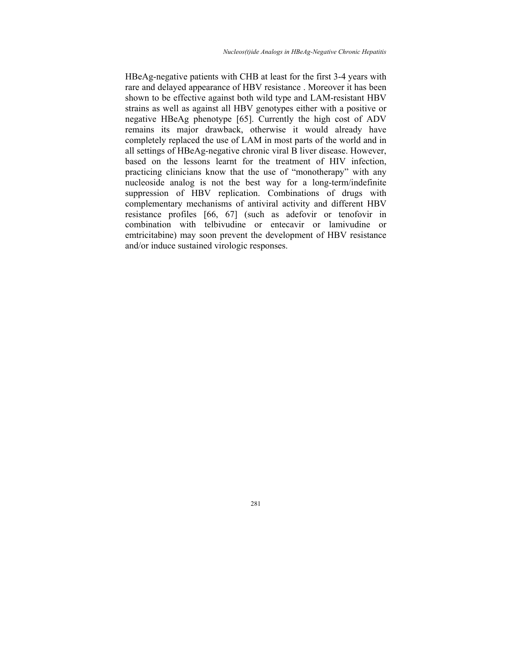HBeAg-negative patients with CHB at least for the first 3-4 years with rare and delayed appearance of HBV resistance . Moreover it has been shown to be effective against both wild type and LAM-resistant HBV strains as well as against all HBV genotypes either with a positive or negative HBeAg phenotype [65]. Currently the high cost of ADV remains its major drawback, otherwise it would already have completely replaced the use of LAM in most parts of the world and in all settings of HBeAg-negative chronic viral B liver disease. However, based on the lessons learnt for the treatment of HIV infection, practicing clinicians know that the use of "monotherapy" with any nucleoside analog is not the best way for a long-term/indefinite suppression of HBV replication. Combinations of drugs with complementary mechanisms of antiviral activity and different HBV resistance profiles [66, 67] (such as adefovir or tenofovir in combination with telbivudine or entecavir or lamivudine or emtricitabine) may soon prevent the development of HBV resistance and/or induce sustained virologic responses.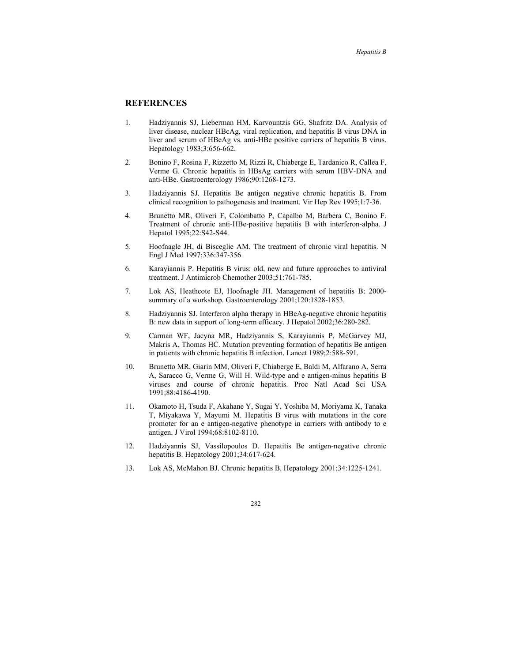### **REFERENCES**

- 1. Hadziyannis SJ, Lieberman HM, Karvountzis GG, Shafritz DA. Analysis of liver disease, nuclear HBcAg, viral replication, and hepatitis B virus DNA in liver and serum of HBeAg vs. anti-HBe positive carriers of hepatitis B virus. Hepatology 1983;3:656-662.
- 2. Bonino F, Rosina F, Rizzetto M, Rizzi R, Chiaberge E, Tardanico R, Callea F, Verme G. Chronic hepatitis in HBsAg carriers with serum HBV-DNA and anti-HBe. Gastroenterology 1986;90:1268-1273.
- 3. Hadziyannis SJ. Hepatitis Be antigen negative chronic hepatitis B. From clinical recognition to pathogenesis and treatment. Vir Hep Rev 1995;1:7-36.
- 4. Brunetto MR, Oliveri F, Colombatto P, Capalbo M, Barbera C, Bonino F. Treatment of chronic anti-HBe-positive hepatitis B with interferon-alpha. J Hepatol 1995;22:S42-S44.
- 5. Hoofnagle JH, di Bisceglie AM. The treatment of chronic viral hepatitis. N Engl J Med 1997;336:347-356.
- 6. Karayiannis P. Hepatitis B virus: old, new and future approaches to antiviral treatment. J Antimicrob Chemother 2003;51:761-785.
- 7. Lok AS, Heathcote EJ, Hoofnagle JH. Management of hepatitis B: 2000 summary of a workshop. Gastroenterology 2001;120:1828-1853.
- 8. Hadziyannis SJ. Interferon alpha therapy in HBeAg-negative chronic hepatitis B: new data in support of long-term efficacy. J Hepatol 2002;36:280-282.
- 9. Carman WF, Jacyna MR, Hadziyannis S, Karayiannis P, McGarvey MJ, Makris A, Thomas HC. Mutation preventing formation of hepatitis Be antigen in patients with chronic hepatitis B infection. Lancet 1989;2:588-591.
- 10. Brunetto MR, Giarin MM, Oliveri F, Chiaberge E, Baldi M, Alfarano A, Serra A, Saracco G, Verme G, Will H. Wild-type and e antigen-minus hepatitis B viruses and course of chronic hepatitis. Proc Natl Acad Sci USA 1991;88:4186-4190.
- 11. Okamoto H, Tsuda F, Akahane Y, Sugai Y, Yoshiba M, Moriyama K, Tanaka T, Miyakawa Y, Mayumi M. Hepatitis B virus with mutations in the core promoter for an e antigen-negative phenotype in carriers with antibody to e antigen. J Virol 1994;68:8102-8110.
- 12. Hadziyannis SJ, Vassilopoulos D. Hepatitis Be antigen-negative chronic hepatitis B. Hepatology 2001;34:617-624.
- 13. Lok AS, McMahon BJ. Chronic hepatitis B. Hepatology 2001;34:1225-1241.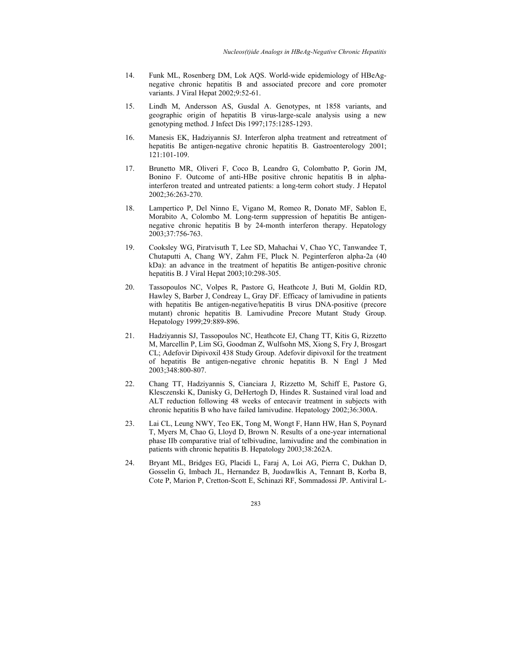- 14. Funk ML, Rosenberg DM, Lok AQS. World-wide epidemiology of HBeAgnegative chronic hepatitis B and associated precore and core promoter variants. J Viral Hepat 2002;9:52-61.
- 15. Lindh M, Andersson AS, Gusdal A. Genotypes, nt 1858 variants, and geographic origin of hepatitis B virus-large-scale analysis using a new genotyping method. J Infect Dis 1997;175:1285-1293.
- 16. Manesis EK, Hadziyannis SJ. Interferon alpha treatment and retreatment of hepatitis Be antigen-negative chronic hepatitis B. Gastroenterology 2001; 121:101-109.
- 17. Brunetto MR, Oliveri F, Coco B, Leandro G, Colombatto P, Gorin JM, Bonino F. Outcome of anti-HBe positive chronic hepatitis B in alphainterferon treated and untreated patients: a long-term cohort study. J Hepatol 2002;36:263-270.
- 18. Lampertico P, Del Ninno E, Vigano M, Romeo R, Donato MF, Sablon E, Morabito A, Colombo M. Long-term suppression of hepatitis Be antigennegative chronic hepatitis B by 24-month interferon therapy. Hepatology 2003;37:756-763.
- 19. Cooksley WG, Piratvisuth T, Lee SD, Mahachai V, Chao YC, Tanwandee T, Chutaputti A, Chang WY, Zahm FE, Pluck N. Peginterferon alpha-2a (40 kDa): an advance in the treatment of hepatitis Be antigen-positive chronic hepatitis B. J Viral Hepat 2003;10:298-305.
- 20. Tassopoulos NC, Volpes R, Pastore G, Heathcote J, Buti M, Goldin RD, Hawley S, Barber J, Condreay L, Gray DF. Efficacy of lamivudine in patients with hepatitis Be antigen-negative/hepatitis B virus DNA-positive (precore mutant) chronic hepatitis B. Lamivudine Precore Mutant Study Group. Hepatology 1999;29:889-896.
- 21. Hadziyannis SJ, Tassopoulos NC, Heathcote EJ, Chang TT, Kitis G, Rizzetto M, Marcellin P, Lim SG, Goodman Z, Wulfsohn MS, Xiong S, Fry J, Brosgart CL; Adefovir Dipivoxil 438 Study Group. Adefovir dipivoxil for the treatment of hepatitis Be antigen-negative chronic hepatitis B. N Engl J Med 2003;348:800-807.
- 22. Chang TT, Hadziyannis S, Cianciara J, Rizzetto M, Schiff E, Pastore G, Klesczenski K, Danisky G, DeHertogh D, Hindes R. Sustained viral load and ALT reduction following 48 weeks of entecavir treatment in subjects with chronic hepatitis B who have failed lamivudine. Hepatology 2002;36:300A.
- 23. Lai CL, Leung NWY, Teo EK, Tong M, Wongt F, Hann HW, Han S, Poynard T, Myers M, Chao G, Lloyd D, Brown N. Results of a one-year international phase IIb comparative trial of telbivudine, lamivudine and the combination in patients with chronic hepatitis B. Hepatology 2003;38:262A.
- 24. Bryant ML, Bridges EG, Placidi L, Faraj A, Loi AG, Pierra C, Dukhan D, Gosselin G, Imbach JL, Hernandez B, Juodawlkis A, Tennant B, Korba B, Cote P, Marion P, Cretton-Scott E, Schinazi RF, Sommadossi JP. Antiviral L-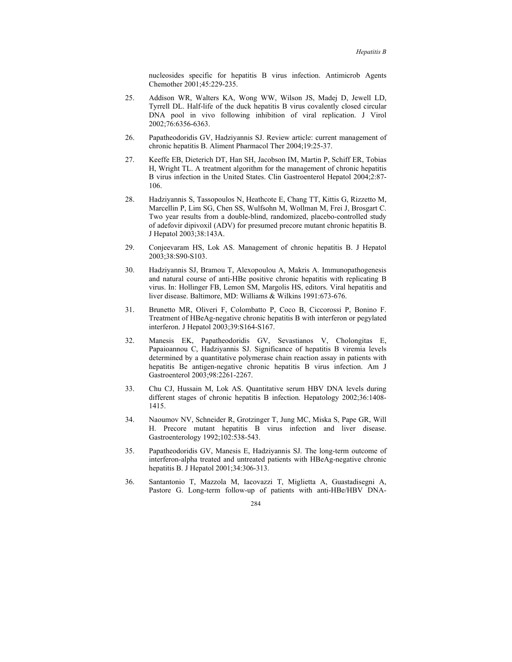nucleosides specific for hepatitis B virus infection. Antimicrob Agents Chemother 2001;45:229-235.

- 25. Addison WR, Walters KA, Wong WW, Wilson JS, Madej D, Jewell LD, Tyrrell DL. Half-life of the duck hepatitis B virus covalently closed circular DNA pool in vivo following inhibition of viral replication. J Virol 2002;76:6356-6363.
- 26. Papatheodoridis GV, Hadziyannis SJ. Review article: current management of chronic hepatitis B. Aliment Pharmacol Ther 2004;19:25-37.
- 27. Keeffe EB, Dieterich DT, Han SH, Jacobson IM, Martin P, Schiff ER, Tobias H, Wright TL. A treatment algorithm for the management of chronic hepatitis B virus infection in the United States. Clin Gastroenterol Hepatol 2004;2:87- 106.
- 28. Hadziyannis S, Tassopoulos N, Heathcote E, Chang TT, Kittis G, Rizzetto M, Marcellin P, Lim SG, Chen SS, Wulfsohn M, Wollman M, Frei J, Brosgart C. Two year results from a double-blind, randomized, placebo-controlled study of adefovir dipivoxil (ADV) for presumed precore mutant chronic hepatitis B. J Hepatol 2003;38:143A.
- 29. Conjeevaram HS, Lok AS. Management of chronic hepatitis B. J Hepatol 2003;38:S90-S103.
- 30. Hadziyannis SJ, Bramou T, Alexopoulou A, Makris A. Immunopathogenesis and natural course of anti-HBe positive chronic hepatitis with replicating B virus. In: Hollinger FB, Lemon SM, Margolis HS, editors. Viral hepatitis and liver disease. Baltimore, MD: Williams & Wilkins 1991:673-676.
- 31. Brunetto MR, Oliveri F, Colombatto P, Coco B, Ciccorossi P, Bonino F. Treatment of HBeAg-negative chronic hepatitis B with interferon or pegylated interferon. J Hepatol 2003;39:S164-S167.
- 32. Manesis EK, Papatheodoridis GV, Sevastianos V, Cholongitas E, Papaioannou C, Hadziyannis SJ. Significance of hepatitis B viremia levels determined by a quantitative polymerase chain reaction assay in patients with hepatitis Be antigen-negative chronic hepatitis B virus infection. Am J Gastroenterol 2003;98:2261-2267.
- 33. Chu CJ, Hussain M, Lok AS. Quantitative serum HBV DNA levels during different stages of chronic hepatitis B infection. Hepatology 2002;36:1408- 1415.
- 34. Naoumov NV, Schneider R, Grotzinger T, Jung MC, Miska S, Pape GR, Will H. Precore mutant hepatitis B virus infection and liver disease. Gastroenterology 1992;102:538-543.
- 35. Papatheodoridis GV, Manesis E, Hadziyannis SJ. The long-term outcome of interferon-alpha treated and untreated patients with HBeAg-negative chronic hepatitis B. J Hepatol 2001;34:306-313.
- 36. Santantonio T, Mazzola M, Iacovazzi T, Miglietta A, Guastadisegni A, Pastore G. Long-term follow-up of patients with anti-HBe/HBV DNA-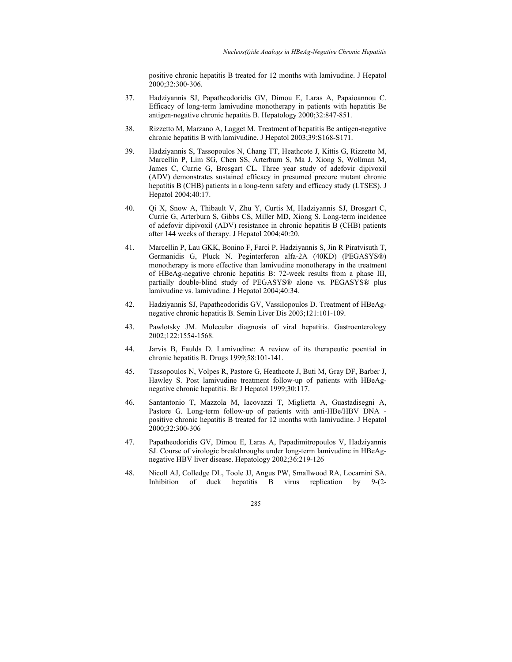positive chronic hepatitis B treated for 12 months with lamivudine. J Hepatol 2000;32:300-306.

- 37. Hadziyannis SJ, Papatheodoridis GV, Dimou E, Laras A, Papaioannou C. Efficacy of long-term lamivudine monotherapy in patients with hepatitis Be antigen-negative chronic hepatitis B. Hepatology 2000;32:847-851.
- 38. Rizzetto M, Marzano A, Lagget M. Treatment of hepatitis Be antigen-negative chronic hepatitis B with lamivudine. J Hepatol 2003;39:S168-S171.
- 39. Hadziyannis S, Tassopoulos N, Chang TT, Heathcote J, Kittis G, Rizzetto M, Marcellin P, Lim SG, Chen SS, Arterburn S, Ma J, Xiong S, Wollman M, James C, Currie G, Brosgart CL. Three year study of adefovir dipivoxil (ADV) demonstrates sustained efficacy in presumed precore mutant chronic hepatitis B (CHB) patients in a long-term safety and efficacy study (LTSES). J Hepatol 2004;40:17.
- 40. Qi X, Snow A, Thibault V, Zhu Y, Curtis M, Hadziyannis SJ, Brosgart C, Currie G, Arterburn S, Gibbs CS, Miller MD, Xiong S. Long-term incidence of adefovir dipivoxil (ADV) resistance in chronic hepatitis B (CHB) patients after 144 weeks of therapy. J Hepatol 2004;40:20.
- 41. Marcellin P, Lau GKK, Bonino F, Farci P, Hadziyannis S, Jin R Piratvisuth T, Germanidis G, Pluck N. Peginterferon alfa-2A (40KD) (PEGASYS®) monotherapy is more effective than lamivudine monotherapy in the treatment of HBeAg-negative chronic hepatitis B: 72-week results from a phase III, partially double-blind study of PEGASYS® alone vs. PEGASYS® plus lamivudine vs. lamivudine. J Hepatol 2004;40:34.
- 42. Hadziyannis SJ, Papatheodoridis GV, Vassilopoulos D. Treatment of HBeAgnegative chronic hepatitis B. Semin Liver Dis 2003;121:101-109.
- 43. Pawlotsky JM. Molecular diagnosis of viral hepatitis. Gastroenterology 2002;122:1554-1568.
- 44. Jarvis B, Faulds D. Lamivudine: A review of its therapeutic poential in chronic hepatitis B. Drugs 1999;58:101-141.
- 45. Tassopoulos N, Volpes R, Pastore G, Heathcote J, Buti M, Gray DF, Barber J, Hawley S. Post lamivudine treatment follow-up of patients with HBeAgnegative chronic hepatitis. Br J Hepatol 1999;30:117.
- 46. Santantonio T, Mazzola M, Iacovazzi T, Miglietta A, Guastadisegni A, Pastore G. Long-term follow-up of patients with anti-HBe/HBV DNA positive chronic hepatitis B treated for 12 months with lamivudine. J Hepatol 2000;32:300-306
- 47. Papatheodoridis GV, Dimou E, Laras A, Papadimitropoulos V, Hadziyannis SJ. Course of virologic breakthroughs under long-term lamivudine in HBeAgnegative HBV liver disease. Hepatology 2002;36:219-126
- 48. Nicoll AJ, Colledge DL, Toole JJ, Angus PW, Smallwood RA, Locarnini SA. Inhibition of duck hepatitis B virus replication by 9-(2-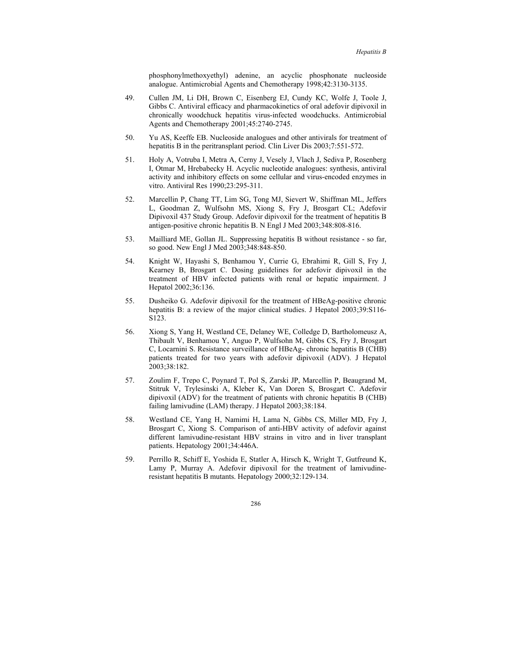phosphonylmethoxyethyl) adenine, an acyclic phosphonate nucleoside analogue. Antimicrobial Agents and Chemotherapy 1998;42:3130-3135.

- 49. Cullen JM, Li DH, Brown C, Eisenberg EJ, Cundy KC, Wolfe J, Toole J, Gibbs C. Antiviral efficacy and pharmacokinetics of oral adefovir dipivoxil in chronically woodchuck hepatitis virus-infected woodchucks. Antimicrobial Agents and Chemotherapy 2001;45:2740-2745.
- 50. Yu AS, Keeffe EB. Nucleoside analogues and other antivirals for treatment of hepatitis B in the peritransplant period. Clin Liver Dis 2003;7:551-572.
- 51. Holy A, Votruba I, Metra A, Cerny J, Vesely J, Vlach J, Sediva P, Rosenberg I, Otmar M, Hrebabecky H. Acyclic nucleotide analogues: synthesis, antiviral activity and inhibitory effects on some cellular and virus-encoded enzymes in vitro. Antiviral Res 1990;23:295-311.
- 52. Marcellin P, Chang TT, Lim SG, Tong MJ, Sievert W, Shiffman ML, Jeffers L, Goodman Z, Wulfsohn MS, Xiong S, Fry J, Brosgart CL; Adefovir Dipivoxil 437 Study Group. Adefovir dipivoxil for the treatment of hepatitis B antigen-positive chronic hepatitis B. N Engl J Med 2003;348:808-816.
- 53. Mailliard ME, Gollan JL. Suppressing hepatitis B without resistance so far, so good. New Engl J Med 2003;348:848-850.
- 54. Knight W, Hayashi S, Benhamou Y, Currie G, Ebrahimi R, Gill S, Fry J, Kearney B, Brosgart C. Dosing guidelines for adefovir dipivoxil in the treatment of HBV infected patients with renal or hepatic impairment. J Hepatol 2002;36:136.
- 55. Dusheiko G. Adefovir dipivoxil for the treatment of HBeAg-positive chronic hepatitis B: a review of the major clinical studies. J Hepatol 2003;39:S116- S123.
- 56. Xiong S, Yang H, Westland CE, Delaney WE, Colledge D, Bartholomeusz A, Thibault V, Benhamou Y, Anguo P, Wulfsohn M, Gibbs CS, Fry J, Brosgart C, Locarnini S. Resistance surveillance of HBeAg- chronic hepatitis B (CHB) patients treated for two years with adefovir dipivoxil (ADV). J Hepatol 2003;38:182.
- 57. Zoulim F, Trepo C, Poynard T, Pol S, Zarski JP, Marcellin P, Beaugrand M, Stitruk V, Trylesinski A, Kleber K, Van Doren S, Brosgart C. Adefovir dipivoxil (ADV) for the treatment of patients with chronic hepatitis B (CHB) failing lamivudine (LAM) therapy. J Hepatol 2003;38:184.
- 58. Westland CE, Yang H, Namimi H, Lama N, Gibbs CS, Miller MD, Fry J, Brosgart C, Xiong S. Comparison of anti-HBV activity of adefovir against different lamivudine-resistant HBV strains in vitro and in liver transplant patients. Hepatology 2001;34:446A.
- 59. Perrillo R, Schiff E, Yoshida E, Statler A, Hirsch K, Wright T, Gutfreund K, Lamy P, Murray A. Adefovir dipivoxil for the treatment of lamivudineresistant hepatitis B mutants. Hepatology 2000;32:129-134.